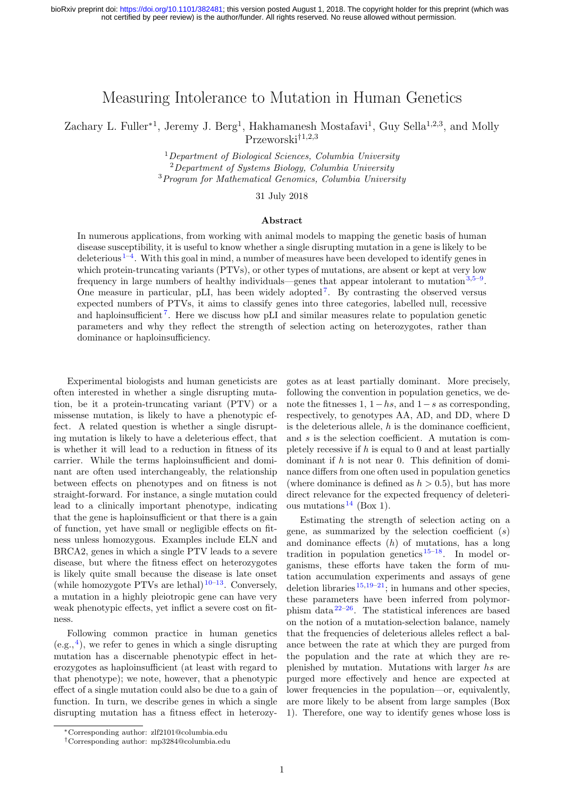# Measuring Intolerance to Mutation in Human Genetics

Zachary L. Fuller<sup>\*1</sup>, Jeremy J. Berg<sup>1</sup>, Hakhamanesh Mostafavi<sup>1</sup>, Guy Sella<sup>1,2,3</sup>, and Molly Przeworski†1,2,3

> $1$ Department of Biological Sciences, Columbia University  $2$ Department of Systems Biology, Columbia University <sup>3</sup>Program for Mathematical Genomics, Columbia University

> > 31 July 2018

#### Abstract

In numerous applications, from working with animal models to mapping the genetic basis of human disease susceptibility, it is useful to know whether a single disrupting mutation in a gene is likely to be deleterious<sup>[1](#page-5-0)-4</sup>. With this goal in mind, a number of measures have been developed to identify genes in which protein-truncating variants (PTVs), or other types of mutations, are absent or kept at very low frequency in large numbers of healthy individuals—genes that appear intolerant to mutation  $3.5-9$  $3.5-9$  $3.5-9$ . One measure in particular, pLI, has been widely adopted<sup>[7](#page-5-5)</sup>. By contrasting the observed versus expected numbers of PTVs, it aims to classify genes into three categories, labelled null, recessive and haploinsufficient<sup>[7](#page-5-5)</sup>. Here we discuss how pLI and similar measures relate to population genetic parameters and why they reflect the strength of selection acting on heterozygotes, rather than dominance or haploinsufficiency.

Experimental biologists and human geneticists are often interested in whether a single disrupting mutation, be it a protein-truncating variant (PTV) or a missense mutation, is likely to have a phenotypic effect. A related question is whether a single disrupting mutation is likely to have a deleterious effect, that is whether it will lead to a reduction in fitness of its carrier. While the terms haploinsufficient and dominant are often used interchangeably, the relationship between effects on phenotypes and on fitness is not straight-forward. For instance, a single mutation could lead to a clinically important phenotype, indicating that the gene is haploinsufficient or that there is a gain of function, yet have small or negligible effects on fitness unless homozygous. Examples include ELN and BRCA2, genes in which a single PTV leads to a severe disease, but where the fitness effect on heterozygotes is likely quite small because the disease is late onset (while homozygote PTVs are lethal)  $10^{-13}$  $10^{-13}$  $10^{-13}$ . Conversely, a mutation in a highly pleiotropic gene can have very weak phenotypic effects, yet inflict a severe cost on fitness.

Following common practice in human genetics  $(e.g.,<sup>4</sup>)$  $(e.g.,<sup>4</sup>)$  $(e.g.,<sup>4</sup>)$ , we refer to genes in which a single disrupting mutation has a discernable phenotypic effect in heterozygotes as haploinsufficient (at least with regard to that phenotype); we note, however, that a phenotypic effect of a single mutation could also be due to a gain of function. In turn, we describe genes in which a single disrupting mutation has a fitness effect in heterozygotes as at least partially dominant. More precisely, following the convention in population genetics, we denote the fitnesses 1,  $1-hs$ , and  $1-s$  as corresponding, respectively, to genotypes AA, AD, and DD, where D is the deleterious allele,  $h$  is the dominance coefficient, and s is the selection coefficient. A mutation is completely recessive if  $h$  is equal to 0 and at least partially dominant if  $h$  is not near 0. This definition of dominance differs from one often used in population genetics (where dominance is defined as  $h > 0.5$ ), but has more direct relevance for the expected frequency of deleterious mutations  $^{14}$  $^{14}$  $^{14}$  (Box 1).

Estimating the strength of selection acting on a gene, as summarized by the selection coefficient  $(s)$ and dominance effects  $(h)$  of mutations, has a long tradition in population genetics [15–](#page-5-9)[18](#page-5-10). In model organisms, these efforts have taken the form of mutation accumulation experiments and assays of gene deletion libraries  $15,19-21$  $15,19-21$  $15,19-21$ ; in humans and other species. these parameters have been inferred from polymorphism data  $22-26$  $22-26$ . The statistical inferences are based on the notion of a mutation-selection balance, namely that the frequencies of deleterious alleles reflect a balance between the rate at which they are purged from the population and the rate at which they are replenished by mutation. Mutations with larger hs are purged more effectively and hence are expected at lower frequencies in the population—or, equivalently, are more likely to be absent from large samples (Box 1). Therefore, one way to identify genes whose loss is

<sup>∗</sup>Corresponding author: zlf2101@columbia.edu

<sup>†</sup>Corresponding author: mp3284@columbia.edu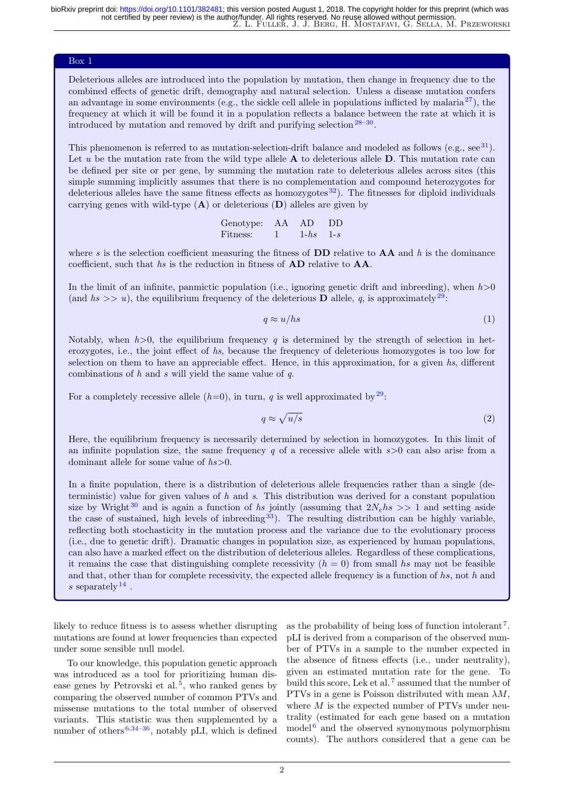not certified by peer review) is the author/funder. All rights reserved. No reuse allowed without permission.<br>Z. L. FULLER, J. J. BERG, H. MOSTAFAVI, G. SELLA, M. PRZEWORSKI bioRxiv preprint doi: [https://doi.org/10.1101/382481;](https://doi.org/10.1101/382481) this version posted August 1, 2018. The copyright holder for this preprint (which was

## Box 1

Deleterious alleles are introduced into the population by mutation, then change in frequency due to the combined effects of genetic drift, demography and natural selection. Unless a disease mutation confers an advantage in some environments (e.g., the sickle cell allele in populations inflicted by malaria  $^{27}$  $^{27}$  $^{27}$ ), the frequency at which it will be found it in a population reflects a balance between the rate at which it is introduced by mutation and removed by drift and purifying selection  $28-30$  $28-30$ .

This phenomenon is referred to as mutation-selection-drift balance and modeled as follows (e.g., see  $31$ ). Let  $u$  be the mutation rate from the wild type allele  $A$  to deleterious allele  $D$ . This mutation rate can be defined per site or per gene, by summing the mutation rate to deleterious alleles across sites (this simple summing implicitly assumes that there is no complementation and compound heterozygotes for deleterious alleles have the same fitness effects as homozygotes [32](#page-6-5)). The fitnesses for diploid individuals carrying genes with wild-type  $(A)$  or deleterious  $(D)$  alleles are given by

> Genotype: AA AD DD Fitness:  $1 - h s$  1- $h s$

where s is the selection coefficient measuring the fitness of  $DD$  relative to  $AA$  and h is the dominance coefficient, such that hs is the reduction in fitness of AD relative to AA.

In the limit of an infinite, panmictic population (i.e., ignoring genetic drift and inbreeding), when  $h>0$ (and  $hs >> u$ ), the equilibrium frequency of the deleterious **D** allele, q, is approximately <sup>[29](#page-6-6)</sup>:

$$
q \approx u/hs \tag{1}
$$

Notably, when  $h > 0$ , the equilibrium frequency q is determined by the strength of selection in heterozygotes, i.e., the joint effect of hs, because the frequency of deleterious homozygotes is too low for selection on them to have an appreciable effect. Hence, in this approximation, for a given hs, different combinations of  $h$  and  $s$  will yield the same value of  $q$ .

For a completely recessive allele  $(h=0)$ , in turn, q is well approximated by  $29$ :

$$
q \approx \sqrt{u/s} \tag{2}
$$

Here, the equilibrium frequency is necessarily determined by selection in homozygotes. In this limit of an infinite population size, the same frequency q of a recessive allele with  $s>0$  can also arise from a dominant allele for some value of hs>0.

In a finite population, there is a distribution of deleterious allele frequencies rather than a single (deterministic) value for given values of  $h$  and  $s$ . This distribution was derived for a constant population size by Wright<sup>[30](#page-6-3)</sup> and is again a function of hs jointly (assuming that  $2N_e$ hs  $>> 1$  and setting aside the case of sustained, high levels of inbreeding  $33$ ). The resulting distribution can be highly variable, reflecting both stochasticity in the mutation process and the variance due to the evolutionary process (i.e., due to genetic drift). Dramatic changes in population size, as experienced by human populations, can also have a marked effect on the distribution of deleterious alleles. Regardless of these complications, it remains the case that distinguishing complete recessivity  $(h = 0)$  from small hs may not be feasible and that, other than for complete recessivity, the expected allele frequency is a function of  $hs$ , not  $h$  and s separately  $^{14}$  $^{14}$  $^{14}$ .

likely to reduce fitness is to assess whether disrupting mutations are found at lower frequencies than expected under some sensible null model.

To our knowledge, this population genetic approach was introduced as a tool for prioritizing human dis-ease genes by Petrovski et al.<sup>[5](#page-5-3)</sup>, who ranked genes by comparing the observed number of common PTVs and missense mutations to the total number of observed variants. This statistic was then supplemented by a number of others<sup>[6](#page-5-14)[,34](#page-6-8)-36</sup>, notably pLI, which is defined

as the probability of being loss of function intolerant [7](#page-5-5) . pLI is derived from a comparison of the observed number of PTVs in a sample to the number expected in the absence of fitness effects (i.e., under neutrality), given an estimated mutation rate for the gene. To build this score, Lek et al.<sup>[7](#page-5-5)</sup> assumed that the number of PTVs in a gene is Poisson distributed with mean  $\lambda M$ . where  $M$  is the expected number of PTVs under neutrality (estimated for each gene based on a mutation model $<sup>6</sup>$  $<sup>6</sup>$  $<sup>6</sup>$  and the observed synonymous polymorphism</sup> counts). The authors considered that a gene can be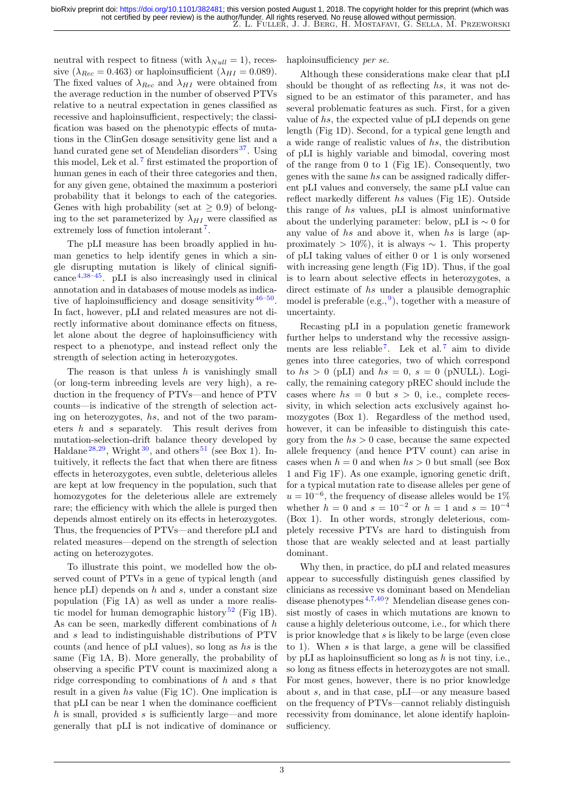neutral with respect to fitness (with  $\lambda_{Null} = 1$ ), recessive ( $\lambda_{Rec} = 0.463$ ) or haploinsufficient ( $\lambda_{HI} = 0.089$ ). The fixed values of  $\lambda_{Rec}$  and  $\lambda_{HI}$  were obtained from the average reduction in the number of observed PTVs relative to a neutral expectation in genes classified as recessive and haploinsufficient, respectively; the classification was based on the phenotypic effects of mutations in the ClinGen dosage sensitivity gene list and a hand curated gene set of Mendelian disorders<sup>[37](#page-6-10)</sup>. Using this model. Lek et al.<sup>[7](#page-5-5)</sup> first estimated the proportion of human genes in each of their three categories and then, for any given gene, obtained the maximum a posteriori probability that it belongs to each of the categories. Genes with high probability (set at  $\geq$  0.9) of belonging to the set parameterized by  $\lambda_{HI}$  were classified as extremely loss of function intolerant<sup>[7](#page-5-5)</sup>.

The pLI measure has been broadly applied in human genetics to help identify genes in which a single disrupting mutation is likely of clinical significance [4](#page-5-1)[,38–](#page-6-11)[45](#page-7-0). pLI is also increasingly used in clinical annotation and in databases of mouse models as indicative of haploinsufficiency and dosage sensitivity  $46-50$  $46-50$ . In fact, however, pLI and related measures are not directly informative about dominance effects on fitness, let alone about the degree of haploinsufficiency with respect to a phenotype, and instead reflect only the strength of selection acting in heterozygotes.

The reason is that unless  $h$  is vanishingly small (or long-term inbreeding levels are very high), a reduction in the frequency of PTVs—and hence of PTV counts—is indicative of the strength of selection acting on heterozygotes, hs, and not of the two parameters h and s separately. This result derives from mutation-selection-drift balance theory developed by Haldane<sup>[28,](#page-6-2)[29](#page-6-6)</sup>, Wright<sup>[30](#page-6-3)</sup>, and others<sup>[51](#page-7-3)</sup> (see Box 1). Intuitively, it reflects the fact that when there are fitness effects in heterozygotes, even subtle, deleterious alleles are kept at low frequency in the population, such that homozygotes for the deleterious allele are extremely rare; the efficiency with which the allele is purged then depends almost entirely on its effects in heterozygotes. Thus, the frequencies of PTVs—and therefore pLI and related measures—depend on the strength of selection acting on heterozygotes.

To illustrate this point, we modelled how the observed count of PTVs in a gene of typical length (and hence pLI) depends on  $h$  and  $s$ , under a constant size population (Fig 1A) as well as under a more realis-tic model for human demographic history<sup>[52](#page-7-4)</sup> (Fig 1B). As can be seen, markedly different combinations of h and s lead to indistinguishable distributions of PTV counts (and hence of pLI values), so long as hs is the same (Fig 1A, B). More generally, the probability of observing a specific PTV count is maximized along a ridge corresponding to combinations of h and s that result in a given hs value (Fig 1C). One implication is that pLI can be near 1 when the dominance coefficient h is small, provided s is sufficiently large—and more generally that pLI is not indicative of dominance or

haploinsufficiency per se.

Although these considerations make clear that pLI should be thought of as reflecting hs, it was not designed to be an estimator of this parameter, and has several problematic features as such. First, for a given value of hs, the expected value of pLI depends on gene length (Fig 1D). Second, for a typical gene length and a wide range of realistic values of hs, the distribution of pLI is highly variable and bimodal, covering most of the range from 0 to 1 (Fig 1E). Consequently, two genes with the same hs can be assigned radically different pLI values and conversely, the same pLI value can reflect markedly different hs values (Fig 1E). Outside this range of hs values, pLI is almost uninformative about the underlying parameter: below, pLI is  $\sim 0$  for any value of  $hs$  and above it, when  $hs$  is large (approximately > 10%), it is always  $\sim$  1. This property of pLI taking values of either 0 or 1 is only worsened with increasing gene length (Fig 1D). Thus, if the goal is to learn about selective effects in heterozygotes, a direct estimate of hs under a plausible demographic model is preferable  $(e.g., 9)$  $(e.g., 9)$  $(e.g., 9)$ , together with a measure of uncertainty.

Recasting pLI in a population genetic framework further helps to understand why the recessive assign-ments are less reliable<sup>[7](#page-5-5)</sup>. Lek et al.<sup>7</sup> aim to divide genes into three categories, two of which correspond to  $hs > 0$  (pLI) and  $hs = 0$ ,  $s = 0$  (pNULL). Logically, the remaining category pREC should include the cases where  $hs = 0$  but  $s > 0$ , i.e., complete recessivity, in which selection acts exclusively against homozygotes (Box 1). Regardless of the method used, however, it can be infeasible to distinguish this category from the  $hs > 0$  case, because the same expected allele frequency (and hence PTV count) can arise in cases when  $h = 0$  and when  $hs > 0$  but small (see Box 1 and Fig 1F). As one example, ignoring genetic drift, for a typical mutation rate to disease alleles per gene of  $u = 10^{-6}$ , the frequency of disease alleles would be 1% whether  $h = 0$  and  $s = 10^{-2}$  or  $h = 1$  and  $s = 10^{-4}$ (Box 1). In other words, strongly deleterious, completely recessive PTVs are hard to distinguish from those that are weakly selected and at least partially dominant.

Why then, in practice, do pLI and related measures appear to successfully distinguish genes classified by clinicians as recessive vs dominant based on Mendelian disease phenotypes [4](#page-5-1)[,7](#page-5-5)[,40](#page-6-12)? Mendelian disease genes consist mostly of cases in which mutations are known to cause a highly deleterious outcome, i.e., for which there is prior knowledge that s is likely to be large (even close to 1). When  $s$  is that large, a gene will be classified by pLI as haploinsufficient so long as  $h$  is not tiny, i.e., so long as fitness effects in heterozygotes are not small. For most genes, however, there is no prior knowledge about s, and in that case, pLI—or any measure based on the frequency of PTVs—cannot reliably distinguish recessivity from dominance, let alone identify haploinsufficiency.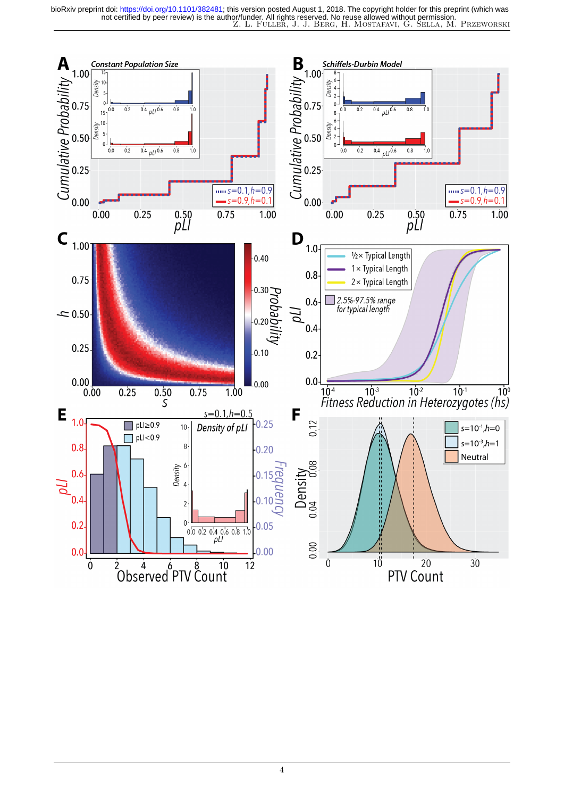not certified by peer review) is the author/funder. All rights reserved. No reuse allowed without permission.<br>Z. L. FULLER, J. J. BERG, H. MOSTAFAVI, G. SELLA, M. PRZEWORSKI bioRxiv preprint doi: [https://doi.org/10.1101/382481;](https://doi.org/10.1101/382481) this version posted August 1, 2018. The copyright holder for this preprint (which was

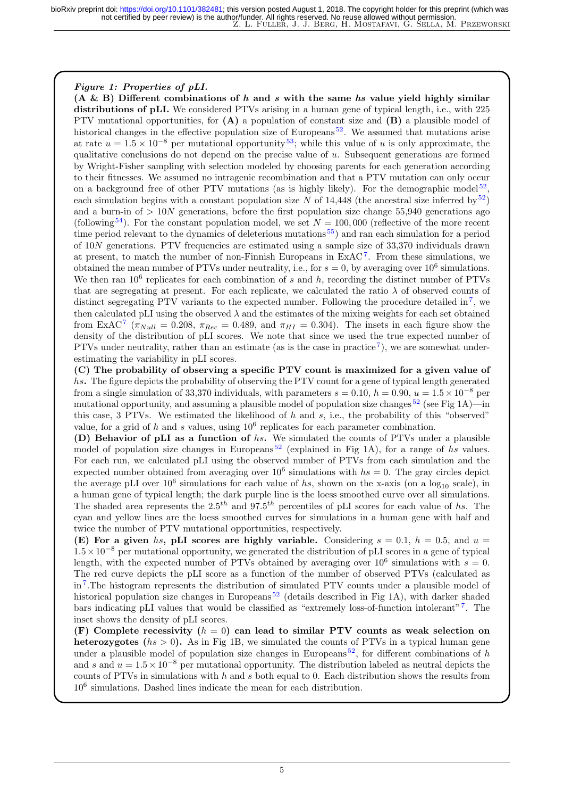# Figure 1: Properties of pLI.

 $(A \& B)$  Different combinations of h and s with the same hs value yield highly similar distributions of pLI. We considered PTVs arising in a human gene of typical length, i.e., with 225 PTV mutational opportunities, for  $(A)$  a population of constant size and  $(B)$  a plausible model of historical changes in the effective population size of Europeans<sup>[52](#page-7-4)</sup>. We assumed that mutations arise at rate  $u = 1.5 \times 10^{-8}$  per mutational opportunity<sup>[53](#page-7-5)</sup>; while this value of u is only approximate, the qualitative conclusions do not depend on the precise value of u. Subsequent generations are formed by Wright-Fisher sampling with selection modeled by choosing parents for each generation according to their fitnesses. We assumed no intragenic recombination and that a PTV mutation can only occur on a background free of other PTV mutations (as is highly likely). For the demographic model<sup>[52](#page-7-4)</sup>, each simulation begins with a constant population size N of 14,448 (the ancestral size inferred by  $52$ ) and a burn-in of  $> 10N$  generations, before the first population size change 55,940 generations ago (following <sup>[54](#page-7-6)</sup>). For the constant population model, we set  $N = 100,000$  (reflective of the more recent time period relevant to the dynamics of deleterious mutations<sup>[55](#page-7-7)</sup>) and ran each simulation for a period of 10N generations. PTV frequencies are estimated using a sample size of 33,370 individuals drawn at present, to match the number of non-Finnish Europeans in  $ExAC<sup>7</sup>$  $ExAC<sup>7</sup>$  $ExAC<sup>7</sup>$ . From these simulations, we obtained the mean number of PTVs under neutrality, i.e., for  $s = 0$ , by averaging over 10<sup>6</sup> simulations. We then ran  $10^6$  replicates for each combination of s and h, recording the distinct number of PTVs that are segregating at present. For each replicate, we calculated the ratio  $\lambda$  of observed counts of distinct segregating PTV variants to the expected number. Following the procedure detailed in<sup>[7](#page-5-5)</sup>, we then calculated pLI using the observed  $\lambda$  and the estimates of the mixing weights for each set obtained from ExAC<sup>[7](#page-5-5)</sup> ( $\pi_{Null} = 0.208$ ,  $\pi_{Rec} = 0.489$ , and  $\pi_{HI} = 0.304$ ). The insets in each figure show the density of the distribution of pLI scores. We note that since we used the true expected number of PTVs under neutrality, rather than an estimate (as is the case in practice<sup>[7](#page-5-5)</sup>), we are somewhat underestimating the variability in pLI scores.

(C) The probability of observing a specific PTV count is maximized for a given value of hs. The figure depicts the probability of observing the PTV count for a gene of typical length generated from a single simulation of 33,370 individuals, with parameters  $s = 0.10$ ,  $h = 0.90$ ,  $u = 1.5 \times 10^{-8}$  per mutational opportunity, and assuming a plausible model of population size changes  $52$  (see Fig 1A)—in this case, 3 PTVs. We estimated the likelihood of  $h$  and  $s$ , i.e., the probability of this "observed" value, for a grid of h and s values, using  $10^6$  replicates for each parameter combination.

(D) Behavior of pLI as a function of hs. We simulated the counts of PTVs under a plausible model of population size changes in Europeans<sup>[52](#page-7-4)</sup> (explained in Fig 1A), for a range of hs values. For each run, we calculated pLI using the observed number of PTVs from each simulation and the expected number obtained from averaging over  $10^6$  simulations with  $hs = 0$ . The gray circles depict the average pLI over  $10^6$  simulations for each value of hs, shown on the x-axis (on a  $log_{10}$  scale), in a human gene of typical length; the dark purple line is the loess smoothed curve over all simulations. The shaded area represents the 2.5<sup>th</sup> and 97.5<sup>th</sup> percentiles of pLI scores for each value of hs. The cyan and yellow lines are the loess smoothed curves for simulations in a human gene with half and twice the number of PTV mutational opportunities, respectively.

(E) For a given hs, pLI scores are highly variable. Considering  $s = 0.1$ ,  $h = 0.5$ , and  $u =$  $1.5\times10^{-8}$  per mutational opportunity, we generated the distribution of pLI scores in a gene of typical length, with the expected number of PTVs obtained by averaging over  $10^6$  simulations with  $s = 0$ . The red curve depicts the pLI score as a function of the number of observed PTVs (calculated as in<sup>[7](#page-5-5)</sup>. The histogram represents the distribution of simulated PTV counts under a plausible model of historical population size changes in Europeans<sup>[52](#page-7-4)</sup> (details described in Fig 1A), with darker shaded bars indicating pLI values that would be classified as "extremely loss-of-function intolerant" [7](#page-5-5) . The inset shows the density of pLI scores.

(F) Complete recessivity  $(h = 0)$  can lead to similar PTV counts as weak selection on heterozygotes ( $hs > 0$ ). As in Fig 1B, we simulated the counts of PTVs in a typical human gene under a plausible model of population size changes in Europeans<sup>[52](#page-7-4)</sup>, for different combinations of h and s and  $u = 1.5 \times 10^{-8}$  per mutational opportunity. The distribution labeled as neutral depicts the counts of PTVs in simulations with  $h$  and  $s$  both equal to 0. Each distribution shows the results from 10<sup>6</sup> simulations. Dashed lines indicate the mean for each distribution.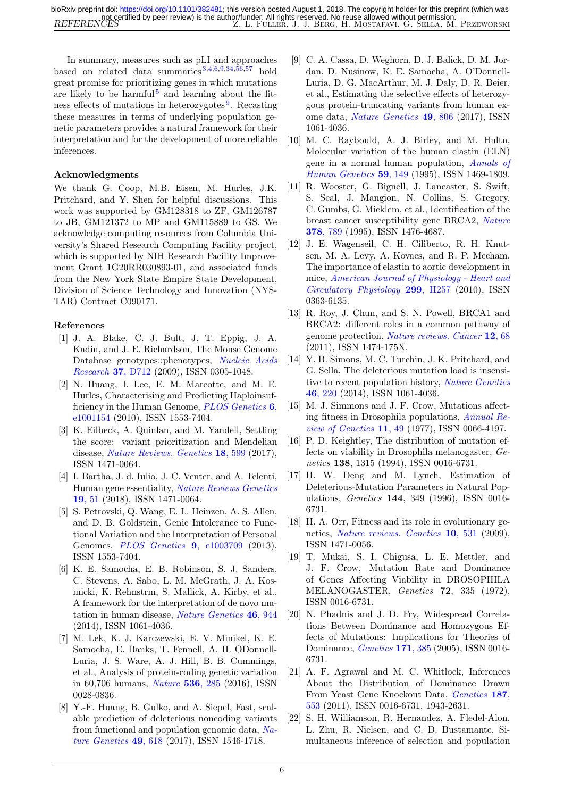In summary, measures such as pLI and approaches based on related data summaries [3,](#page-5-2)[4,](#page-5-1)[6](#page-5-14)[,9,](#page-5-4)[34,](#page-6-8)[56,](#page-7-8)[57](#page-7-9) hold great promise for prioritizing genes in which mutations are likely to be harmful<sup>[5](#page-5-3)</sup> and learning about the fit-ness effects of mutations in heterozygotes<sup>[9](#page-5-4)</sup>. Recasting these measures in terms of underlying population genetic parameters provides a natural framework for their interpretation and for the development of more reliable inferences.

## Acknowledgments

We thank G. Coop, M.B. Eisen, M. Hurles, J.K. Pritchard, and Y. Shen for helpful discussions. This work was supported by GM128318 to ZF, GM126787 to JB, GM121372 to MP and GM115889 to GS. We acknowledge computing resources from Columbia University's Shared Research Computing Facility project, which is supported by NIH Research Facility Improvement Grant 1G20RR030893-01, and associated funds from the New York State Empire State Development, Division of Science Technology and Innovation (NYS-TAR) Contract C090171.

# References

- <span id="page-5-0"></span>[1] J. A. Blake, C. J. Bult, J. T. Eppig, J. A. Kadin, and J. E. Richardson, The Mouse Genome Database genotypes::phenotypes, [Nucleic Acids](http://dx.doi.org/10.1093/nar/gkn886) [Research](http://dx.doi.org/10.1093/nar/gkn886) 37[, D712](http://dx.doi.org/10.1093/nar/gkn886) (2009), ISSN 0305-1048.
- [2] N. Huang, I. Lee, E. M. Marcotte, and M. E. Hurles, Characterising and Predicting Haploinsufficiency in the Human Genome, [PLOS Genetics](http://dx.doi.org/10.1371/journal.pgen.1001154) [6](http://dx.doi.org/10.1371/journal.pgen.1001154), [e1001154](http://dx.doi.org/10.1371/journal.pgen.1001154) (2010), ISSN 1553-7404.
- <span id="page-5-2"></span>[3] K. Eilbeck, A. Quinlan, and M. Yandell, Settling the score: variant prioritization and Mendelian disease, [Nature Reviews. Genetics](http://dx.doi.org/10.1038/nrg.2017.52) 18[, 599](http://dx.doi.org/10.1038/nrg.2017.52) (2017), ISSN 1471-0064.
- <span id="page-5-1"></span>[4] I. Bartha, J. d. Iulio, J. C. Venter, and A. Telenti, Human gene essentiality, [Nature Reviews Genetics](http://dx.doi.org/10.1038/nrg.2017.75) [1](http://dx.doi.org/10.1038/nrg.2017.75)9[, 51](http://dx.doi.org/10.1038/nrg.2017.75) (2018), ISSN 1471-0064.
- <span id="page-5-3"></span>[5] S. Petrovski, Q. Wang, E. L. Heinzen, A. S. Allen, and D. B. Goldstein, Genic Intolerance to Functional Variation and the Interpretation of Personal Genomes, [PLOS Genetics](http://dx.doi.org/10.1371/journal.pgen.1003709) 9[, e1003709](http://dx.doi.org/10.1371/journal.pgen.1003709) (2013), ISSN 1553-7404.
- <span id="page-5-14"></span>[6] K. E. Samocha, E. B. Robinson, S. J. Sanders, C. Stevens, A. Sabo, L. M. McGrath, J. A. Kosmicki, K. Rehnstrm, S. Mallick, A. Kirby, et al., A framework for the interpretation of de novo mutation in human disease, [Nature Genetics](http://dx.doi.org/10.1038/ng.3050) 46[, 944](http://dx.doi.org/10.1038/ng.3050) (2014), ISSN 1061-4036.
- <span id="page-5-5"></span>[7] M. Lek, K. J. Karczewski, E. V. Minikel, K. E. Samocha, E. Banks, T. Fennell, A. H. ODonnell-Luria, J. S. Ware, A. J. Hill, B. B. Cummings, et al., Analysis of protein-coding genetic variation in 60,706 humans, [Nature](http://dx.doi.org/10.1038/nature19057) 536[, 285](http://dx.doi.org/10.1038/nature19057) (2016), ISSN 0028-0836.
- [8] Y.-F. Huang, B. Gulko, and A. Siepel, Fast, scalable prediction of deleterious noncoding variants from functional and population genomic data,  $Na$ [ture Genetics](http://dx.doi.org/10.1038/ng.3810) 49[, 618](http://dx.doi.org/10.1038/ng.3810) (2017), ISSN 1546-1718.
- <span id="page-5-4"></span>[9] C. A. Cassa, D. Weghorn, D. J. Balick, D. M. Jordan, D. Nusinow, K. E. Samocha, A. O'Donnell-Luria, D. G. MacArthur, M. J. Daly, D. R. Beier, et al., Estimating the selective effects of heterozygous protein-truncating variants from human exome data, [Nature Genetics](http://dx.doi.org/10.1038/ng.3831) 49[, 806](http://dx.doi.org/10.1038/ng.3831) (2017), ISSN 1061-4036.
- <span id="page-5-6"></span>[10] M. C. Raybould, A. J. Birley, and M. Hultn, Molecular variation of the human elastin (ELN) gene in a normal human population, [Annals of](http://dx.doi.org/10.1111/j.1469-1809.1995.tb00738.x) [Human Genetics](http://dx.doi.org/10.1111/j.1469-1809.1995.tb00738.x) 59[, 149](http://dx.doi.org/10.1111/j.1469-1809.1995.tb00738.x) (1995), ISSN 1469-1809.
- [11] R. Wooster, G. Bignell, J. Lancaster, S. Swift, S. Seal, J. Mangion, N. Collins, S. Gregory, C. Gumbs, G. Micklem, et al., Identification of the breast cancer susceptibility gene BRCA2, [Nature](http://dx.doi.org/10.1038/378789a0) [3](http://dx.doi.org/10.1038/378789a0)78[, 789](http://dx.doi.org/10.1038/378789a0) (1995), ISSN 1476-4687.
- [12] J. E. Wagenseil, C. H. Ciliberto, R. H. Knutsen, M. A. Levy, A. Kovacs, and R. P. Mecham, The importance of elastin to aortic development in mice, [American Journal of Physiology - Heart and](http://dx.doi.org/10.1152/ajpheart.00194.2010) [Circulatory Physiology](http://dx.doi.org/10.1152/ajpheart.00194.2010) 299[, H257](http://dx.doi.org/10.1152/ajpheart.00194.2010) (2010), ISSN 0363-6135.
- <span id="page-5-7"></span>[13] R. Roy, J. Chun, and S. N. Powell, BRCA1 and BRCA2: different roles in a common pathway of genome protection, [Nature reviews. Cancer](http://dx.doi.org/10.1038/nrc3181) 12[, 68](http://dx.doi.org/10.1038/nrc3181) (2011), ISSN 1474-175X.
- <span id="page-5-8"></span>[14] Y. B. Simons, M. C. Turchin, J. K. Pritchard, and G. Sella, The deleterious mutation load is insensitive to recent population history, *[Nature Genetics](http://dx.doi.org/10.1038/ng.2896)* [4](http://dx.doi.org/10.1038/ng.2896)6[, 220](http://dx.doi.org/10.1038/ng.2896) (2014), ISSN 1061-4036.
- <span id="page-5-9"></span>[15] M. J. Simmons and J. F. Crow, Mutations affecting fitness in Drosophila populations, [Annual Re](http://dx.doi.org/10.1146/annurev.ge.11.120177.000405)[view of Genetics](http://dx.doi.org/10.1146/annurev.ge.11.120177.000405) 11[, 49](http://dx.doi.org/10.1146/annurev.ge.11.120177.000405) (1977), ISSN 0066-4197.
- [16] P. D. Keightley, The distribution of mutation effects on viability in Drosophila melanogaster, Genetics 138, 1315 (1994), ISSN 0016-6731.
- [17] H. W. Deng and M. Lynch, Estimation of Deleterious-Mutation Parameters in Natural Populations, Genetics 144, 349 (1996), ISSN 0016- 6731.
- <span id="page-5-10"></span>[18] H. A. Orr, Fitness and its role in evolutionary genetics, [Nature reviews. Genetics](http://dx.doi.org/10.1038/nrg2603) 10[, 531](http://dx.doi.org/10.1038/nrg2603) (2009), ISSN 1471-0056.
- <span id="page-5-11"></span>[19] T. Mukai, S. I. Chigusa, L. E. Mettler, and J. F. Crow, Mutation Rate and Dominance of Genes Affecting Viability in DROSOPHILA MELANOGASTER, Genetics 72, 335 (1972), ISSN 0016-6731.
- [20] N. Phadnis and J. D. Fry, Widespread Correlations Between Dominance and Homozygous Effects of Mutations: Implications for Theories of Dominance, [Genetics](http://dx.doi.org/10.1534/genetics.104.039016) 171[, 385](http://dx.doi.org/10.1534/genetics.104.039016) (2005), ISSN 0016- 6731.
- <span id="page-5-12"></span>[21] A. F. Agrawal and M. C. Whitlock, Inferences About the Distribution of Dominance Drawn From Yeast Gene Knockout Data, [Genetics](http://dx.doi.org/10.1534/genetics.110.124560) [187](http://dx.doi.org/10.1534/genetics.110.124560), [553](http://dx.doi.org/10.1534/genetics.110.124560) (2011), ISSN 0016-6731, 1943-2631.
- <span id="page-5-13"></span>[22] S. H. Williamson, R. Hernandez, A. Fledel-Alon, L. Zhu, R. Nielsen, and C. D. Bustamante, Simultaneous inference of selection and population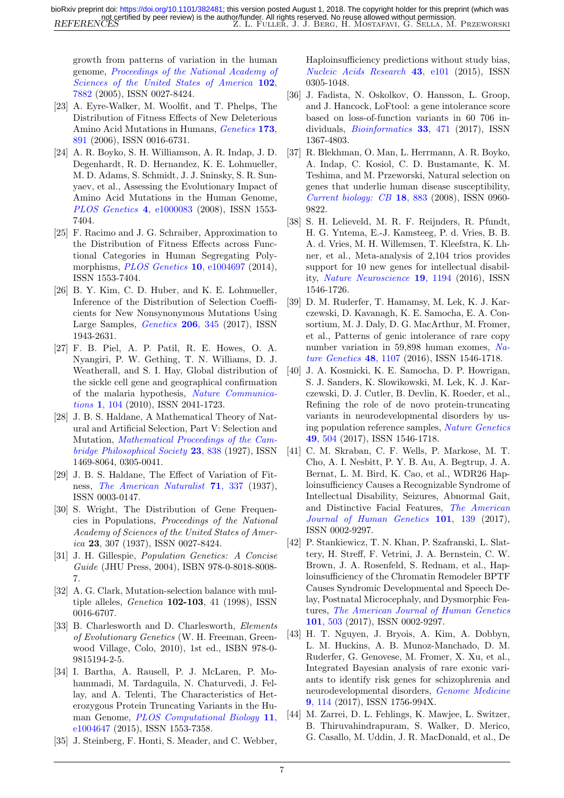growth from patterns of variation in the human genome, [Proceedings of the National Academy of](http://dx.doi.org/10.1073/pnas.0502300102) [Sciences of the United States of America](http://dx.doi.org/10.1073/pnas.0502300102) [102](http://dx.doi.org/10.1073/pnas.0502300102), [7882](http://dx.doi.org/10.1073/pnas.0502300102) (2005), ISSN 0027-8424.

- [23] A. Eyre-Walker, M. Woolfit, and T. Phelps, The Distribution of Fitness Effects of New Deleterious Amino Acid Mutations in Humans, [Genetics](http://dx.doi.org/10.1534/genetics.106.057570) [173](http://dx.doi.org/10.1534/genetics.106.057570), [891](http://dx.doi.org/10.1534/genetics.106.057570) (2006), ISSN 0016-6731.
- [24] A. R. Boyko, S. H. Williamson, A. R. Indap, J. D. Degenhardt, R. D. Hernandez, K. E. Lohmueller, M. D. Adams, S. Schmidt, J. J. Sninsky, S. R. Sunyaev, et al., Assessing the Evolutionary Impact of Amino Acid Mutations in the Human Genome, [PLOS Genetics](http://dx.doi.org/10.1371/journal.pgen.1000083) 4[, e1000083](http://dx.doi.org/10.1371/journal.pgen.1000083) (2008), ISSN 1553- 7404.
- [25] F. Racimo and J. G. Schraiber, Approximation to the Distribution of Fitness Effects across Functional Categories in Human Segregating Polymorphisms, *[PLOS Genetics](http://dx.doi.org/10.1371/journal.pgen.1004697)* **10**[, e1004697](http://dx.doi.org/10.1371/journal.pgen.1004697) (2014), ISSN 1553-7404.
- <span id="page-6-0"></span>[26] B. Y. Kim, C. D. Huber, and K. E. Lohmueller, Inference of the Distribution of Selection Coefficients for New Nonsynonymous Mutations Using Large Samples, [Genetics](http://dx.doi.org/10.1534/genetics.116.197145) 206[, 345](http://dx.doi.org/10.1534/genetics.116.197145) (2017), ISSN 1943-2631.
- <span id="page-6-1"></span>[27] F. B. Piel, A. P. Patil, R. E. Howes, O. A. Nyangiri, P. W. Gething, T. N. Williams, D. J. Weatherall, and S. I. Hay, Global distribution of the sickle cell gene and geographical confirmation of the malaria hypothesis, [Nature Communica](http://dx.doi.org/10.1038/ncomms1104)[tions](http://dx.doi.org/10.1038/ncomms1104) 1[, 104](http://dx.doi.org/10.1038/ncomms1104) (2010), ISSN 2041-1723.
- <span id="page-6-2"></span>[28] J. B. S. Haldane, A Mathematical Theory of Natural and Artificial Selection, Part V: Selection and Mutation, [Mathematical Proceedings of the Cam](http://dx.doi.org/10.1017/S0305004100015644)[bridge Philosophical Society](http://dx.doi.org/10.1017/S0305004100015644) 23[, 838](http://dx.doi.org/10.1017/S0305004100015644) (1927), ISSN 1469-8064, 0305-0041.
- <span id="page-6-6"></span>[29] J. B. S. Haldane, The Effect of Variation of Fitness, [The American Naturalist](http://dx.doi.org/10.1086/280722) 71[, 337](http://dx.doi.org/10.1086/280722) (1937), ISSN 0003-0147.
- <span id="page-6-3"></span>[30] S. Wright, The Distribution of Gene Frequencies in Populations, Proceedings of the National Academy of Sciences of the United States of America 23, 307 (1937), ISSN 0027-8424.
- <span id="page-6-4"></span>[31] J. H. Gillespie, Population Genetics: A Concise Guide (JHU Press, 2004), ISBN 978-0-8018-8008- 7.
- <span id="page-6-5"></span>[32] A. G. Clark, Mutation-selection balance with multiple alleles, Genetica 102-103, 41 (1998), ISSN 0016-6707.
- <span id="page-6-7"></span>[33] B. Charlesworth and D. Charlesworth, *Elements* of Evolutionary Genetics (W. H. Freeman, Greenwood Village, Colo, 2010), 1st ed., ISBN 978-0- 9815194-2-5.
- <span id="page-6-8"></span>[34] I. Bartha, A. Rausell, P. J. McLaren, P. Mohammadi, M. Tardaguila, N. Chaturvedi, J. Fellay, and A. Telenti, The Characteristics of Heterozygous Protein Truncating Variants in the Human Genome, *[PLOS Computational Biology](http://dx.doi.org/10.1371/journal.pcbi.1004647)* [11](http://dx.doi.org/10.1371/journal.pcbi.1004647), [e1004647](http://dx.doi.org/10.1371/journal.pcbi.1004647) (2015), ISSN 1553-7358.
- [35] J. Steinberg, F. Honti, S. Meader, and C. Webber,

Haploinsufficiency predictions without study bias, [Nucleic Acids Research](http://dx.doi.org/10.1093/nar/gkv474) 43[, e101](http://dx.doi.org/10.1093/nar/gkv474) (2015), ISSN 0305-1048.

- <span id="page-6-9"></span>[36] J. Fadista, N. Oskolkov, O. Hansson, L. Groop, and J. Hancock, LoFtool: a gene intolerance score based on loss-of-function variants in 60 706 individuals, *[Bioinformatics](http://dx.doi.org/10.1093/bioinformatics/btv602)* 33[, 471](http://dx.doi.org/10.1093/bioinformatics/btv602) (2017), ISSN 1367-4803.
- <span id="page-6-10"></span>[37] R. Blekhman, O. Man, L. Herrmann, A. R. Boyko, A. Indap, C. Kosiol, C. D. Bustamante, K. M. Teshima, and M. Przeworski, Natural selection on genes that underlie human disease susceptibility, [Current biology: CB](http://dx.doi.org/10.1016/j.cub.2008.04.074) 18[, 883](http://dx.doi.org/10.1016/j.cub.2008.04.074) (2008), ISSN 0960- 9822.
- <span id="page-6-11"></span>[38] S. H. Lelieveld, M. R. F. Reijnders, R. Pfundt, H. G. Yntema, E.-J. Kamsteeg, P. d. Vries, B. B. A. d. Vries, M. H. Willemsen, T. Kleefstra, K. Lhner, et al., Meta-analysis of 2,104 trios provides support for 10 new genes for intellectual disability, [Nature Neuroscience](http://dx.doi.org/10.1038/nn.4352) 19[, 1194](http://dx.doi.org/10.1038/nn.4352) (2016), ISSN 1546-1726.
- [39] D. M. Ruderfer, T. Hamamsy, M. Lek, K. J. Karczewski, D. Kavanagh, K. E. Samocha, E. A. Consortium, M. J. Daly, D. G. MacArthur, M. Fromer, et al., Patterns of genic intolerance of rare copy number variation in 59,898 human exomes, [Na](http://dx.doi.org/10.1038/ng.3638)[ture Genetics](http://dx.doi.org/10.1038/ng.3638) 48[, 1107](http://dx.doi.org/10.1038/ng.3638) (2016), ISSN 1546-1718.
- <span id="page-6-12"></span>[40] J. A. Kosmicki, K. E. Samocha, D. P. Howrigan, S. J. Sanders, K. Slowikowski, M. Lek, K. J. Karczewski, D. J. Cutler, B. Devlin, K. Roeder, et al., Refining the role of de novo protein-truncating variants in neurodevelopmental disorders by using population reference samples, [Nature Genetics](http://dx.doi.org/10.1038/ng.3789) [4](http://dx.doi.org/10.1038/ng.3789)9[, 504](http://dx.doi.org/10.1038/ng.3789) (2017), ISSN 1546-1718.
- [41] C. M. Skraban, C. F. Wells, P. Markose, M. T. Cho, A. I. Nesbitt, P. Y. B. Au, A. Begtrup, J. A. Bernat, L. M. Bird, K. Cao, et al., WDR26 Haploinsufficiency Causes a Recognizable Syndrome of Intellectual Disability, Seizures, Abnormal Gait, and Distinctive Facial Features, [The American](http://dx.doi.org/10.1016/j.ajhg.2017.06.002) [Journal of Human Genetics](http://dx.doi.org/10.1016/j.ajhg.2017.06.002) 101[, 139](http://dx.doi.org/10.1016/j.ajhg.2017.06.002) (2017), ISSN 0002-9297.
- [42] P. Stankiewicz, T. N. Khan, P. Szafranski, L. Slattery, H. Streff, F. Vetrini, J. A. Bernstein, C. W. Brown, J. A. Rosenfeld, S. Rednam, et al., Haploinsufficiency of the Chromatin Remodeler BPTF Causes Syndromic Developmental and Speech Delay, Postnatal Microcephaly, and Dysmorphic Features, [The American Journal of Human Genetics](http://dx.doi.org/10.1016/j.ajhg.2017.08.014) [1](http://dx.doi.org/10.1016/j.ajhg.2017.08.014)01[, 503](http://dx.doi.org/10.1016/j.ajhg.2017.08.014) (2017), ISSN 0002-9297.
- [43] H. T. Nguyen, J. Bryois, A. Kim, A. Dobbyn, L. M. Huckins, A. B. Munoz-Manchado, D. M. Ruderfer, G. Genovese, M. Fromer, X. Xu, et al., Integrated Bayesian analysis of rare exonic variants to identify risk genes for schizophrenia and neurodevelopmental disorders, [Genome Medicine](http://dx.doi.org/10.1186/s13073-017-0497-y) [9](http://dx.doi.org/10.1186/s13073-017-0497-y)[, 114](http://dx.doi.org/10.1186/s13073-017-0497-y) (2017), ISSN 1756-994X.
- [44] M. Zarrei, D. L. Fehlings, K. Mawjee, L. Switzer, B. Thiruvahindrapuram, S. Walker, D. Merico, G. Casallo, M. Uddin, J. R. MacDonald, et al., De